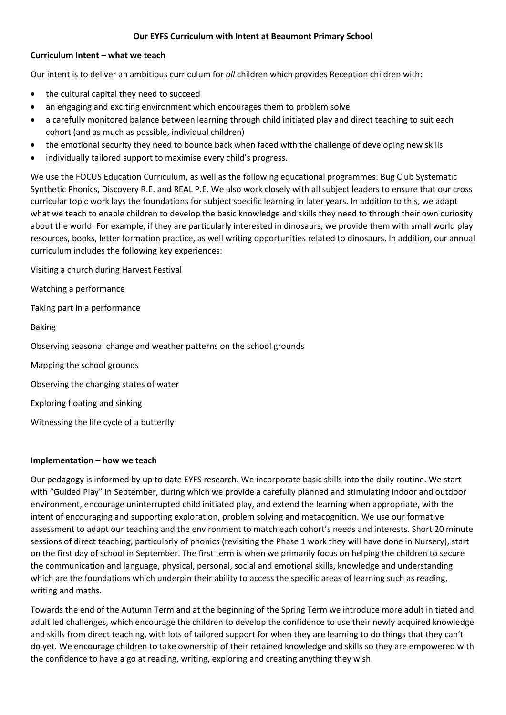## **Our EYFS Curriculum with Intent at Beaumont Primary School**

## **Curriculum Intent – what we teach**

Our intent is to deliver an ambitious curriculum for *all* children which provides Reception children with:

- the cultural capital they need to succeed
- an engaging and exciting environment which encourages them to problem solve
- a carefully monitored balance between learning through child initiated play and direct teaching to suit each cohort (and as much as possible, individual children)
- the emotional security they need to bounce back when faced with the challenge of developing new skills
- individually tailored support to maximise every child's progress.

We use the FOCUS Education Curriculum, as well as the following educational programmes: Bug Club Systematic Synthetic Phonics, Discovery R.E. and REAL P.E. We also work closely with all subject leaders to ensure that our cross curricular topic work lays the foundations for subject specific learning in later years. In addition to this, we adapt what we teach to enable children to develop the basic knowledge and skills they need to through their own curiosity about the world. For example, if they are particularly interested in dinosaurs, we provide them with small world play resources, books, letter formation practice, as well writing opportunities related to dinosaurs. In addition, our annual curriculum includes the following key experiences:

Visiting a church during Harvest Festival

Watching a performance

Taking part in a performance

Baking

Observing seasonal change and weather patterns on the school grounds

Mapping the school grounds

Observing the changing states of water

Exploring floating and sinking

Witnessing the life cycle of a butterfly

## **Implementation – how we teach**

Our pedagogy is informed by up to date EYFS research. We incorporate basic skills into the daily routine. We start with "Guided Play" in September, during which we provide a carefully planned and stimulating indoor and outdoor environment, encourage uninterrupted child initiated play, and extend the learning when appropriate, with the intent of encouraging and supporting exploration, problem solving and metacognition. We use our formative assessment to adapt our teaching and the environment to match each cohort's needs and interests. Short 20 minute sessions of direct teaching, particularly of phonics (revisiting the Phase 1 work they will have done in Nursery), start on the first day of school in September. The first term is when we primarily focus on helping the children to secure the communication and language, physical, personal, social and emotional skills, knowledge and understanding which are the foundations which underpin their ability to access the specific areas of learning such as reading, writing and maths.

Towards the end of the Autumn Term and at the beginning of the Spring Term we introduce more adult initiated and adult led challenges, which encourage the children to develop the confidence to use their newly acquired knowledge and skills from direct teaching, with lots of tailored support for when they are learning to do things that they can't do yet. We encourage children to take ownership of their retained knowledge and skills so they are empowered with the confidence to have a go at reading, writing, exploring and creating anything they wish.